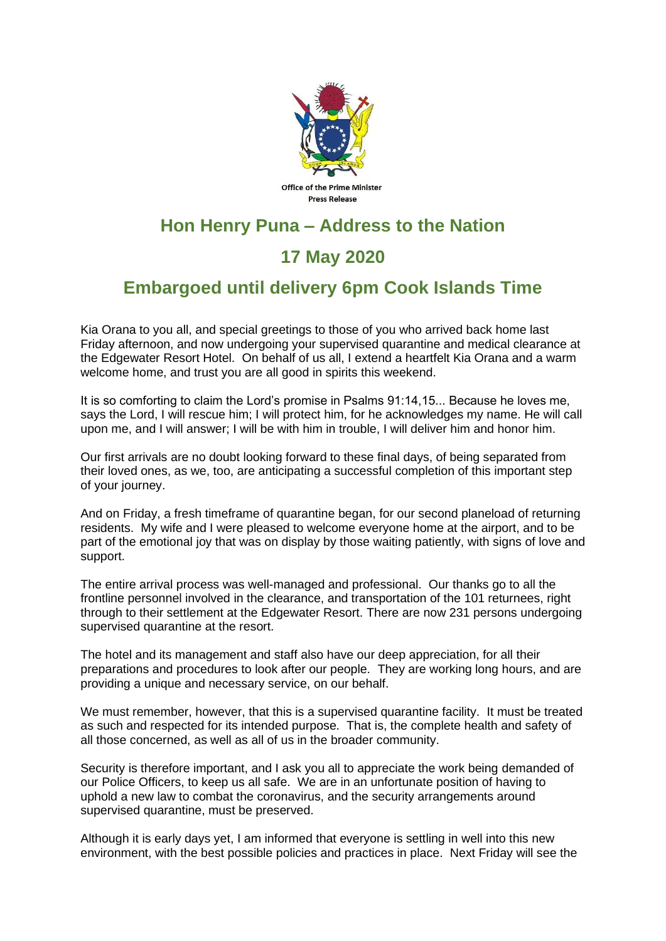

## **Hon Henry Puna – Address to the Nation**

## **17 May 2020**

## **Embargoed until delivery 6pm Cook Islands Time**

Kia Orana to you all, and special greetings to those of you who arrived back home last Friday afternoon, and now undergoing your supervised quarantine and medical clearance at the Edgewater Resort Hotel. On behalf of us all, I extend a heartfelt Kia Orana and a warm welcome home, and trust you are all good in spirits this weekend.

It is so comforting to claim the Lord's promise in Psalms 91:14,15... Because he loves me, says the Lord, I will rescue him; I will protect him, for he acknowledges my name. He will call upon me, and I will answer; I will be with him in trouble, I will deliver him and honor him.

Our first arrivals are no doubt looking forward to these final days, of being separated from their loved ones, as we, too, are anticipating a successful completion of this important step of your journey.

And on Friday, a fresh timeframe of quarantine began, for our second planeload of returning residents. My wife and I were pleased to welcome everyone home at the airport, and to be part of the emotional joy that was on display by those waiting patiently, with signs of love and support.

The entire arrival process was well-managed and professional. Our thanks go to all the frontline personnel involved in the clearance, and transportation of the 101 returnees, right through to their settlement at the Edgewater Resort. There are now 231 persons undergoing supervised quarantine at the resort.

The hotel and its management and staff also have our deep appreciation, for all their preparations and procedures to look after our people. They are working long hours, and are providing a unique and necessary service, on our behalf.

We must remember, however, that this is a supervised quarantine facility. It must be treated as such and respected for its intended purpose. That is, the complete health and safety of all those concerned, as well as all of us in the broader community.

Security is therefore important, and I ask you all to appreciate the work being demanded of our Police Officers, to keep us all safe. We are in an unfortunate position of having to uphold a new law to combat the coronavirus, and the security arrangements around supervised quarantine, must be preserved.

Although it is early days yet, I am informed that everyone is settling in well into this new environment, with the best possible policies and practices in place. Next Friday will see the